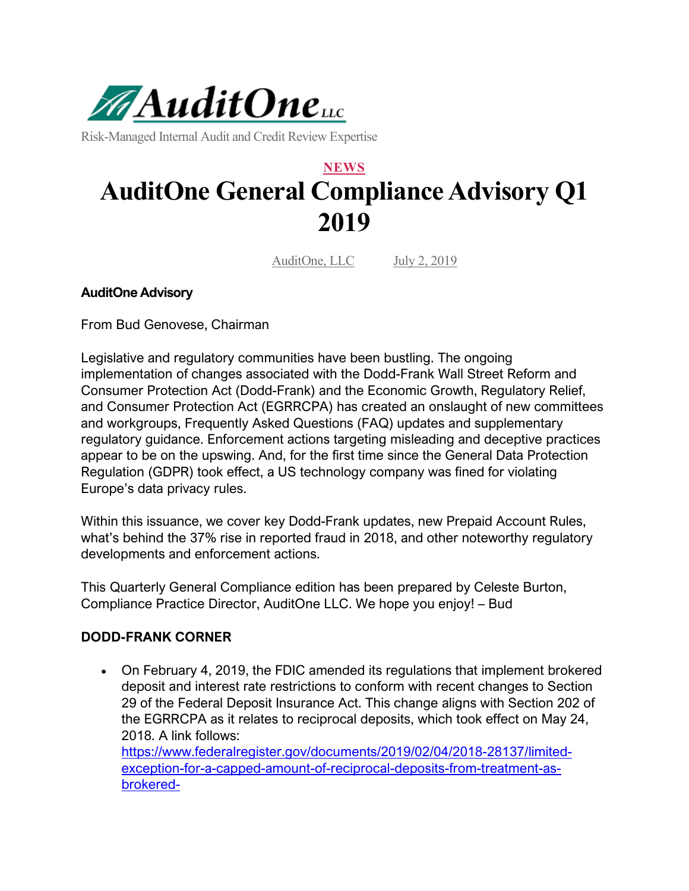

Risk-Managed Internal Audit and Credit Review Expertise

# **NEWS AuditOne General Compliance Advisory Q1 2019**

AuditOne, LLC July 2, 2019

#### **AuditOne Advisory**

From Bud Genovese, Chairman

Legislative and regulatory communities have been bustling. The ongoing implementation of changes associated with the Dodd-Frank Wall Street Reform and Consumer Protection Act (Dodd-Frank) and the Economic Growth, Regulatory Relief, and Consumer Protection Act (EGRRCPA) has created an onslaught of new committees and workgroups, Frequently Asked Questions (FAQ) updates and supplementary regulatory guidance. Enforcement actions targeting misleading and deceptive practices appear to be on the upswing. And, for the first time since the General Data Protection Regulation (GDPR) took effect, a US technology company was fined for violating Europe's data privacy rules.

Within this issuance, we cover key Dodd-Frank updates, new Prepaid Account Rules, what's behind the 37% rise in reported fraud in 2018, and other noteworthy regulatory developments and enforcement actions.

This Quarterly General Compliance edition has been prepared by Celeste Burton, Compliance Practice Director, AuditOne LLC. We hope you enjoy! – Bud

#### **DODD-FRANK CORNER**

• On February 4, 2019, the FDIC amended its regulations that implement brokered deposit and interest rate restrictions to conform with recent changes to Section 29 of the Federal Deposit Insurance Act. This change aligns with Section 202 of the EGRRCPA as it relates to reciprocal deposits, which took effect on May 24, 2018. A link follows: [https://www.federalregister.gov/documents/2019/02/04/2018-28137/limited](https://www.federalregister.gov/documents/2019/02/04/2018-28137/limited-exception-for-a-capped-amount-of-reciprocal-deposits-from-treatment-as-brokered-deposits?utm_campaign=subscription%20mailing%20list&utm_source=federalregister.gov&utm_medium=email)[exception-for-a-capped-amount-of-reciprocal-deposits-from-treatment-as](https://www.federalregister.gov/documents/2019/02/04/2018-28137/limited-exception-for-a-capped-amount-of-reciprocal-deposits-from-treatment-as-brokered-deposits?utm_campaign=subscription%20mailing%20list&utm_source=federalregister.gov&utm_medium=email)[brokered-](https://www.federalregister.gov/documents/2019/02/04/2018-28137/limited-exception-for-a-capped-amount-of-reciprocal-deposits-from-treatment-as-brokered-deposits?utm_campaign=subscription%20mailing%20list&utm_source=federalregister.gov&utm_medium=email)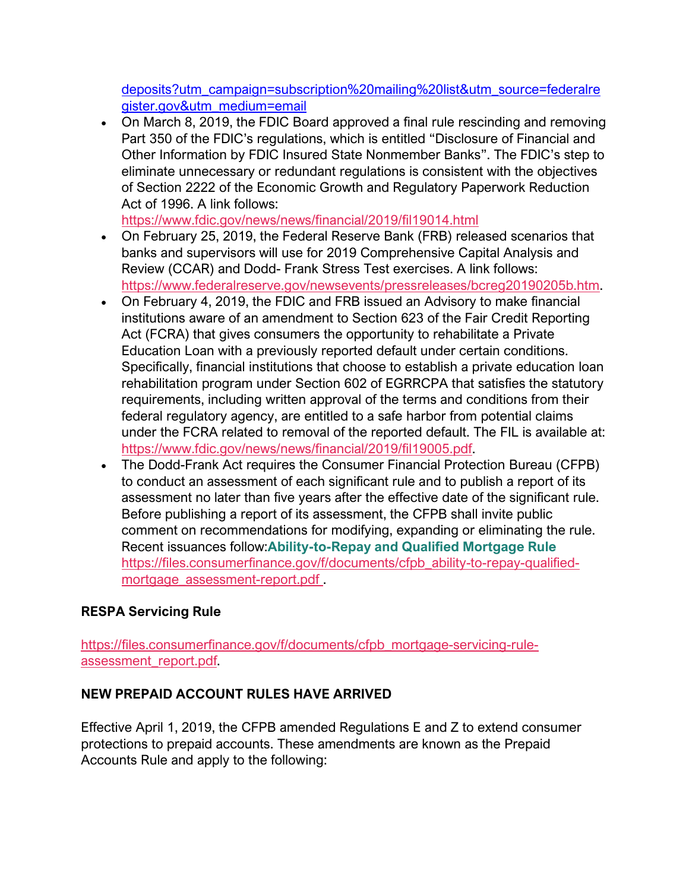[deposits?utm\\_campaign=subscription%20mailing%20list&utm\\_source=federalre](https://www.federalregister.gov/documents/2019/02/04/2018-28137/limited-exception-for-a-capped-amount-of-reciprocal-deposits-from-treatment-as-brokered-deposits?utm_campaign=subscription%20mailing%20list&utm_source=federalregister.gov&utm_medium=email) [gister.gov&utm\\_medium=email](https://www.federalregister.gov/documents/2019/02/04/2018-28137/limited-exception-for-a-capped-amount-of-reciprocal-deposits-from-treatment-as-brokered-deposits?utm_campaign=subscription%20mailing%20list&utm_source=federalregister.gov&utm_medium=email)

• On March 8, 2019, the FDIC Board approved a final rule rescinding and removing Part 350 of the FDIC's regulations, which is entitled "Disclosure of Financial and Other Information by FDIC Insured State Nonmember Banks". The FDIC's step to eliminate unnecessary or redundant regulations is consistent with the objectives of Section 2222 of the Economic Growth and Regulatory Paperwork Reduction Act of 1996. A link follows:

<https://www.fdic.gov/news/news/financial/2019/fil19014.html>

- On February 25, 2019, the Federal Reserve Bank (FRB) released scenarios that banks and supervisors will use for 2019 Comprehensive Capital Analysis and Review (CCAR) and Dodd- Frank Stress Test exercises. A link follows: [https://www.federalreserve.gov/newsevents/pressreleases/bcreg20190205b.htm.](https://www.federalreserve.gov/newsevents/pressreleases/bcreg20190205b.htm)
- On February 4, 2019, the FDIC and FRB issued an Advisory to make financial institutions aware of an amendment to Section 623 of the Fair Credit Reporting Act (FCRA) that gives consumers the opportunity to rehabilitate a Private Education Loan with a previously reported default under certain conditions. Specifically, financial institutions that choose to establish a private education loan rehabilitation program under Section 602 of EGRRCPA that satisfies the statutory requirements, including written approval of the terms and conditions from their federal regulatory agency, are entitled to a safe harbor from potential claims under the FCRA related to removal of the reported default. The FIL is available at: [https://www.fdic.gov/news/news/financial/2019/fil19005.pdf.](https://www.fdic.gov/news/news/financial/2019/fil19005.pdf)
- The Dodd-Frank Act requires the Consumer Financial Protection Bureau (CFPB) to conduct an assessment of each significant rule and to publish a report of its assessment no later than five years after the effective date of the significant rule. Before publishing a report of its assessment, the CFPB shall invite public comment on recommendations for modifying, expanding or eliminating the rule. Recent issuances follow:**Ability-to-Repay and Qualified Mortgage Rule** [https://files.consumerfinance.gov/f/documents/cfpb\\_ability-to-repay-qualified](https://files.consumerfinance.gov/f/documents/cfpb_ability-to-repay-qualified-mortgage_assessment-report.pdf)[mortgage\\_assessment-report.pdf](https://files.consumerfinance.gov/f/documents/cfpb_ability-to-repay-qualified-mortgage_assessment-report.pdf) .

# **RESPA Servicing Rule**

[https://files.consumerfinance.gov/f/documents/cfpb\\_mortgage-servicing-rule](https://files.consumerfinance.gov/f/documents/cfpb_mortgage-servicing-rule-assessment_report.pdf)[assessment\\_report.pdf.](https://files.consumerfinance.gov/f/documents/cfpb_mortgage-servicing-rule-assessment_report.pdf)

# **NEW PREPAID ACCOUNT RULES HAVE ARRIVED**

Effective April 1, 2019, the CFPB amended Regulations E and Z to extend consumer protections to prepaid accounts. These amendments are known as the Prepaid Accounts Rule and apply to the following: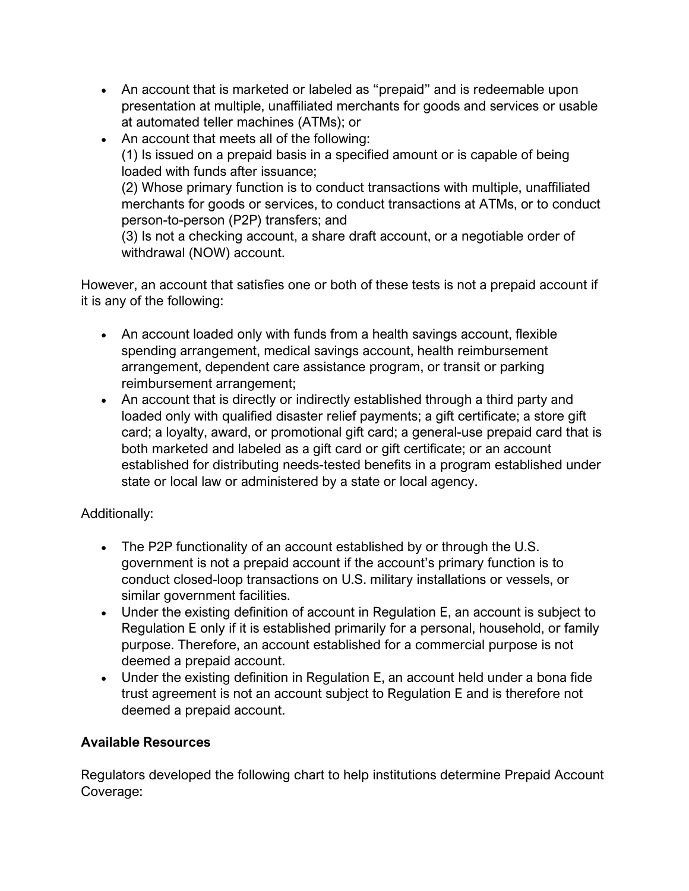- An account that is marketed or labeled as "prepaid" and is redeemable upon presentation at multiple, unaffiliated merchants for goods and services or usable at automated teller machines (ATMs); or
- An account that meets all of the following: (1) Is issued on a prepaid basis in a specified amount or is capable of being loaded with funds after issuance; (2) Whose primary function is to conduct transactions with multiple, unaffiliated merchants for goods or services, to conduct transactions at ATMs, or to conduct person-to-person (P2P) transfers; and

(3) Is not a checking account, a share draft account, or a negotiable order of withdrawal (NOW) account.

However, an account that satisfies one or both of these tests is not a prepaid account if it is any of the following:

- An account loaded only with funds from a health savings account, flexible spending arrangement, medical savings account, health reimbursement arrangement, dependent care assistance program, or transit or parking reimbursement arrangement;
- An account that is directly or indirectly established through a third party and loaded only with qualified disaster relief payments; a gift certificate; a store gift card; a loyalty, award, or promotional gift card; a general-use prepaid card that is both marketed and labeled as a gift card or gift certificate; or an account established for distributing needs-tested benefits in a program established under state or local law or administered by a state or local agency.

# Additionally:

- The P2P functionality of an account established by or through the U.S. government is not a prepaid account if the account's primary function is to conduct closed-loop transactions on U.S. military installations or vessels, or similar government facilities.
- Under the existing definition of account in Regulation E, an account is subject to Regulation E only if it is established primarily for a personal, household, or family purpose. Therefore, an account established for a commercial purpose is not deemed a prepaid account.
- Under the existing definition in Regulation E, an account held under a bona fide trust agreement is not an account subject to Regulation E and is therefore not deemed a prepaid account.

## **Available Resources**

Regulators developed the following chart to help institutions determine Prepaid Account Coverage: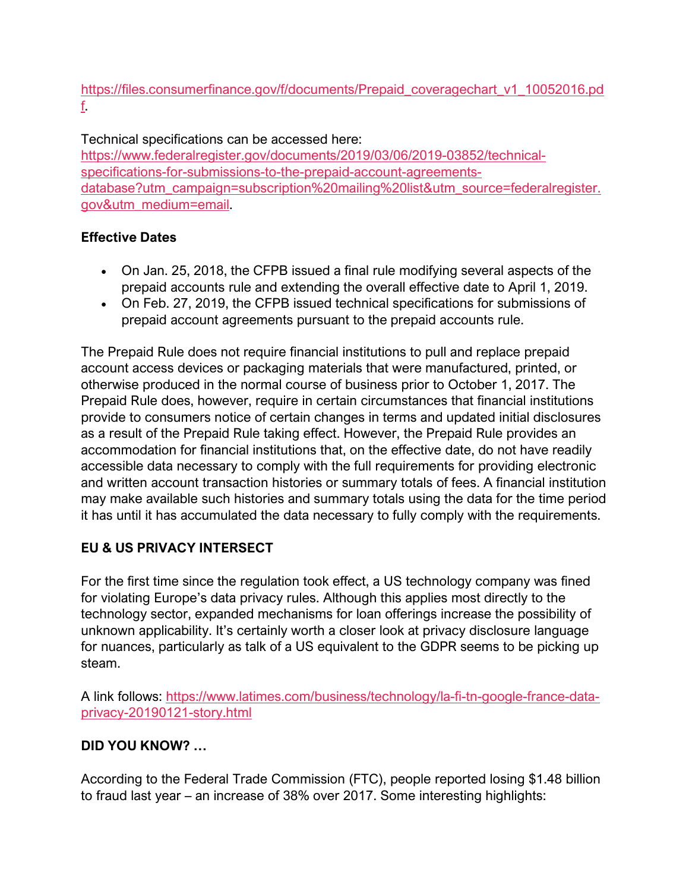## [https://files.consumerfinance.gov/f/documents/Prepaid\\_coveragechart\\_v1\\_10052016.pd](https://files.consumerfinance.gov/f/documents/Prepaid_coveragechart_v1_10052016.pdf) [f.](https://files.consumerfinance.gov/f/documents/Prepaid_coveragechart_v1_10052016.pdf)

# Technical specifications can be accessed here:

[https://www.federalregister.gov/documents/2019/03/06/2019-03852/technical](https://www.federalregister.gov/documents/2019/03/06/2019-03852/technical-specifications-for-submissions-to-the-prepaid-account-agreements-database?utm_campaign=subscription%20mailing%20list&utm_source=federalregister.gov&utm_medium=email)[specifications-for-submissions-to-the-prepaid-account-agreements](https://www.federalregister.gov/documents/2019/03/06/2019-03852/technical-specifications-for-submissions-to-the-prepaid-account-agreements-database?utm_campaign=subscription%20mailing%20list&utm_source=federalregister.gov&utm_medium=email)[database?utm\\_campaign=subscription%20mailing%20list&utm\\_source=federalregister.](https://www.federalregister.gov/documents/2019/03/06/2019-03852/technical-specifications-for-submissions-to-the-prepaid-account-agreements-database?utm_campaign=subscription%20mailing%20list&utm_source=federalregister.gov&utm_medium=email) [gov&utm\\_medium=email.](https://www.federalregister.gov/documents/2019/03/06/2019-03852/technical-specifications-for-submissions-to-the-prepaid-account-agreements-database?utm_campaign=subscription%20mailing%20list&utm_source=federalregister.gov&utm_medium=email)

## **Effective Dates**

- On Jan. 25, 2018, the CFPB issued a final rule modifying several aspects of the prepaid accounts rule and extending the overall effective date to April 1, 2019.
- On Feb. 27, 2019, the CFPB issued technical specifications for submissions of prepaid account agreements pursuant to the prepaid accounts rule.

The Prepaid Rule does not require financial institutions to pull and replace prepaid account access devices or packaging materials that were manufactured, printed, or otherwise produced in the normal course of business prior to October 1, 2017. The Prepaid Rule does, however, require in certain circumstances that financial institutions provide to consumers notice of certain changes in terms and updated initial disclosures as a result of the Prepaid Rule taking effect. However, the Prepaid Rule provides an accommodation for financial institutions that, on the effective date, do not have readily accessible data necessary to comply with the full requirements for providing electronic and written account transaction histories or summary totals of fees. A financial institution may make available such histories and summary totals using the data for the time period it has until it has accumulated the data necessary to fully comply with the requirements.

# **EU & US PRIVACY INTERSECT**

For the first time since the regulation took effect, a US technology company was fined for violating Europe's data privacy rules. Although this applies most directly to the technology sector, expanded mechanisms for loan offerings increase the possibility of unknown applicability. It's certainly worth a closer look at privacy disclosure language for nuances, particularly as talk of a US equivalent to the GDPR seems to be picking up steam.

A link follows: [https://www.latimes.com/business/technology/la-fi-tn-google-france-data](https://www.latimes.com/business/technology/la-fi-tn-google-france-data-privacy-20190121-story.html)[privacy-20190121-story.html](https://www.latimes.com/business/technology/la-fi-tn-google-france-data-privacy-20190121-story.html)

# **DID YOU KNOW? …**

According to the Federal Trade Commission (FTC), people reported losing \$1.48 billion to fraud last year – an increase of 38% over 2017. Some interesting highlights: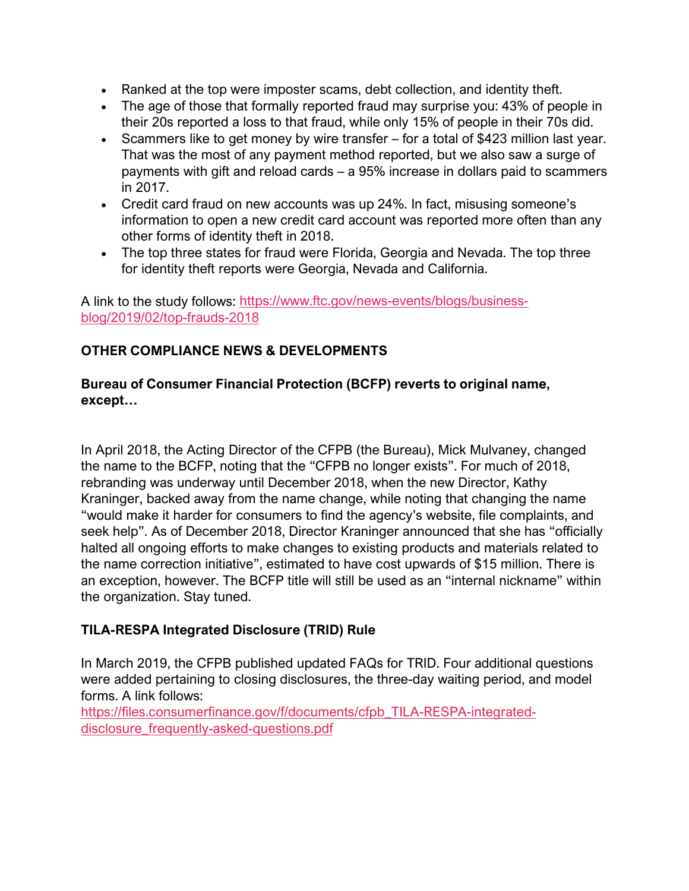- Ranked at the top were imposter scams, debt collection, and identity theft.
- The age of those that formally reported fraud may surprise you: 43% of people in their 20s reported a loss to that fraud, while only 15% of people in their 70s did.
- Scammers like to get money by wire transfer for a total of \$423 million last year. That was the most of any payment method reported, but we also saw a surge of payments with gift and reload cards – a 95% increase in dollars paid to scammers in 2017.
- Credit card fraud on new accounts was up 24%. In fact, misusing someone's information to open a new credit card account was reported more often than any other forms of identity theft in 2018.
- The top three states for fraud were Florida, Georgia and Nevada. The top three for identity theft reports were Georgia, Nevada and California.

A link to the study follows: [https://www.ftc.gov/news-events/blogs/business](https://www.ftc.gov/news-events/blogs/business-blog/2019/02/top-frauds-2018)[blog/2019/02/top-frauds-2018](https://www.ftc.gov/news-events/blogs/business-blog/2019/02/top-frauds-2018)

# **OTHER COMPLIANCE NEWS & DEVELOPMENTS**

## **Bureau of Consumer Financial Protection (BCFP) reverts to original name, except…**

In April 2018, the Acting Director of the CFPB (the Bureau), Mick Mulvaney, changed the name to the BCFP, noting that the "CFPB no longer exists". For much of 2018, rebranding was underway until December 2018, when the new Director, Kathy Kraninger, backed away from the name change, while noting that changing the name "would make it harder for consumers to find the agency's website, file complaints, and seek help". As of December 2018, Director Kraninger announced that she has "officially halted all ongoing efforts to make changes to existing products and materials related to the name correction initiative", estimated to have cost upwards of \$15 million. There is an exception, however. The BCFP title will still be used as an "internal nickname" within the organization. Stay tuned.

# **TILA-RESPA Integrated Disclosure (TRID) Rule**

In March 2019, the CFPB published updated FAQs for TRID. Four additional questions were added pertaining to closing disclosures, the three-day waiting period, and model forms. A link follows:

[https://files.consumerfinance.gov/f/documents/cfpb\\_TILA-RESPA-integrated](https://files.consumerfinance.gov/f/documents/cfpb_TILA-RESPA-integrated-disclosure_frequently-asked-questions.pdf)[disclosure\\_frequently-asked-questions.pdf](https://files.consumerfinance.gov/f/documents/cfpb_TILA-RESPA-integrated-disclosure_frequently-asked-questions.pdf)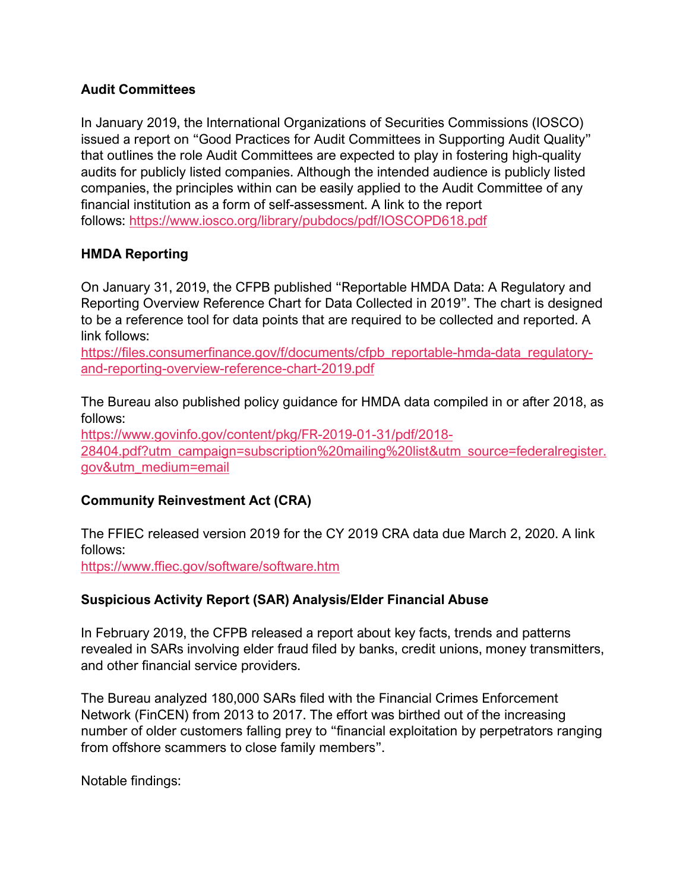## **Audit Committees**

In January 2019, the International Organizations of Securities Commissions (IOSCO) issued a report on "Good Practices for Audit Committees in Supporting Audit Quality" that outlines the role Audit Committees are expected to play in fostering high-quality audits for publicly listed companies. Although the intended audience is publicly listed companies, the principles within can be easily applied to the Audit Committee of any financial institution as a form of self-assessment. A link to the report follows: <https://www.iosco.org/library/pubdocs/pdf/IOSCOPD618.pdf>

## **HMDA Reporting**

On January 31, 2019, the CFPB published "Reportable HMDA Data: A Regulatory and Reporting Overview Reference Chart for Data Collected in 2019". The chart is designed to be a reference tool for data points that are required to be collected and reported. A link follows:

[https://files.consumerfinance.gov/f/documents/cfpb\\_reportable-hmda-data\\_regulatory](https://files.consumerfinance.gov/f/documents/cfpb_reportable-hmda-data_regulatory-and-reporting-overview-reference-chart-2019.pdf)[and-reporting-overview-reference-chart-2019.pdf](https://files.consumerfinance.gov/f/documents/cfpb_reportable-hmda-data_regulatory-and-reporting-overview-reference-chart-2019.pdf)

The Bureau also published policy guidance for HMDA data compiled in or after 2018, as follows:

[https://www.govinfo.gov/content/pkg/FR-2019-01-31/pdf/2018-](https://www.govinfo.gov/content/pkg/FR-2019-01-31/pdf/2018-28404.pdf?utm_campaign=subscription%20mailing%20list&utm_source=federalregister.gov&utm_medium=email) [28404.pdf?utm\\_campaign=subscription%20mailing%20list&utm\\_source=federalregister.](https://www.govinfo.gov/content/pkg/FR-2019-01-31/pdf/2018-28404.pdf?utm_campaign=subscription%20mailing%20list&utm_source=federalregister.gov&utm_medium=email) [gov&utm\\_medium=email](https://www.govinfo.gov/content/pkg/FR-2019-01-31/pdf/2018-28404.pdf?utm_campaign=subscription%20mailing%20list&utm_source=federalregister.gov&utm_medium=email)

## **Community Reinvestment Act (CRA)**

The FFIEC released version 2019 for the CY 2019 CRA data due March 2, 2020. A link follows:

<https://www.ffiec.gov/software/software.htm>

#### **Suspicious Activity Report (SAR) Analysis/Elder Financial Abuse**

In February 2019, the CFPB released a report about key facts, trends and patterns revealed in SARs involving elder fraud filed by banks, credit unions, money transmitters, and other financial service providers.

The Bureau analyzed 180,000 SARs filed with the Financial Crimes Enforcement Network (FinCEN) from 2013 to 2017. The effort was birthed out of the increasing number of older customers falling prey to "financial exploitation by perpetrators ranging from offshore scammers to close family members".

Notable findings: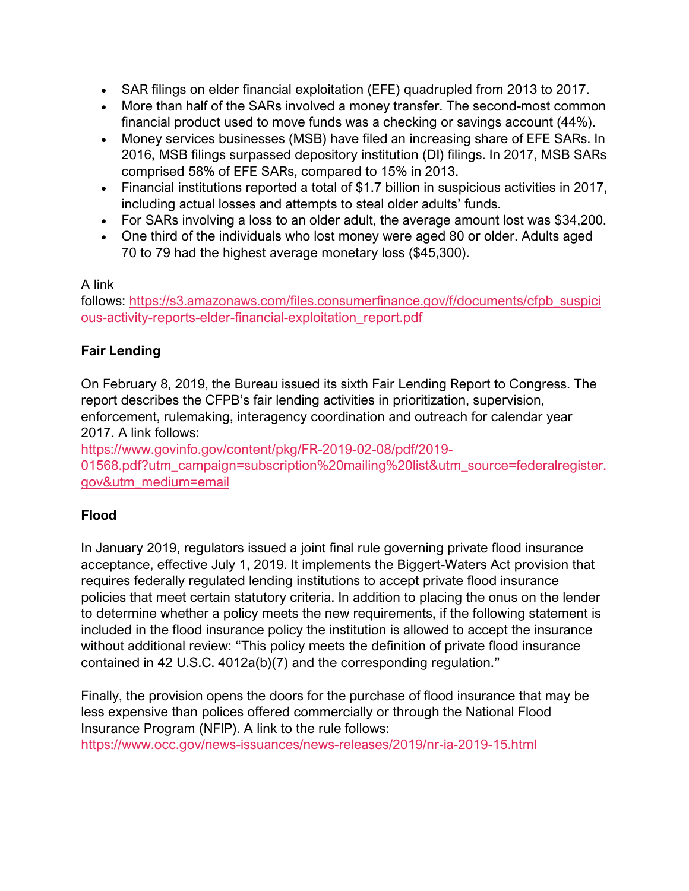- SAR filings on elder financial exploitation (EFE) quadrupled from 2013 to 2017.
- More than half of the SARs involved a money transfer. The second-most common financial product used to move funds was a checking or savings account (44%).
- Money services businesses (MSB) have filed an increasing share of EFE SARs. In 2016, MSB filings surpassed depository institution (DI) filings. In 2017, MSB SARs comprised 58% of EFE SARs, compared to 15% in 2013.
- Financial institutions reported a total of \$1.7 billion in suspicious activities in 2017, including actual losses and attempts to steal older adults' funds.
- For SARs involving a loss to an older adult, the average amount lost was \$34,200.
- One third of the individuals who lost money were aged 80 or older. Adults aged 70 to 79 had the highest average monetary loss (\$45,300).

#### A link

follows: [https://s3.amazonaws.com/files.consumerfinance.gov/f/documents/cfpb\\_suspici](https://s3.amazonaws.com/files.consumerfinance.gov/f/documents/cfpb_suspicious-activity-reports-elder-financial-exploitation_report.pdf) [ous-activity-reports-elder-financial-exploitation\\_report.pdf](https://s3.amazonaws.com/files.consumerfinance.gov/f/documents/cfpb_suspicious-activity-reports-elder-financial-exploitation_report.pdf)

#### **Fair Lending**

On February 8, 2019, the Bureau issued its sixth Fair Lending Report to Congress. The report describes the CFPB's fair lending activities in prioritization, supervision, enforcement, rulemaking, interagency coordination and outreach for calendar year 2017. A link follows:

[https://www.govinfo.gov/content/pkg/FR-2019-02-08/pdf/2019-](https://www.govinfo.gov/content/pkg/FR-2019-02-08/pdf/2019-01568.pdf?utm_campaign=subscription%20mailing%20list&utm_source=federalregister.gov&utm_medium=email)

[01568.pdf?utm\\_campaign=subscription%20mailing%20list&utm\\_source=federalregister.](https://www.govinfo.gov/content/pkg/FR-2019-02-08/pdf/2019-01568.pdf?utm_campaign=subscription%20mailing%20list&utm_source=federalregister.gov&utm_medium=email) [gov&utm\\_medium=email](https://www.govinfo.gov/content/pkg/FR-2019-02-08/pdf/2019-01568.pdf?utm_campaign=subscription%20mailing%20list&utm_source=federalregister.gov&utm_medium=email)

## **Flood**

In January 2019, regulators issued a joint final rule governing private flood insurance acceptance, effective July 1, 2019. It implements the Biggert-Waters Act provision that requires federally regulated lending institutions to accept private flood insurance policies that meet certain statutory criteria. In addition to placing the onus on the lender to determine whether a policy meets the new requirements, if the following statement is included in the flood insurance policy the institution is allowed to accept the insurance without additional review: "This policy meets the definition of private flood insurance contained in 42 U.S.C. 4012a(b)(7) and the corresponding regulation."

Finally, the provision opens the doors for the purchase of flood insurance that may be less expensive than polices offered commercially or through the National Flood Insurance Program (NFIP). A link to the rule follows: <https://www.occ.gov/news-issuances/news-releases/2019/nr-ia-2019-15.html>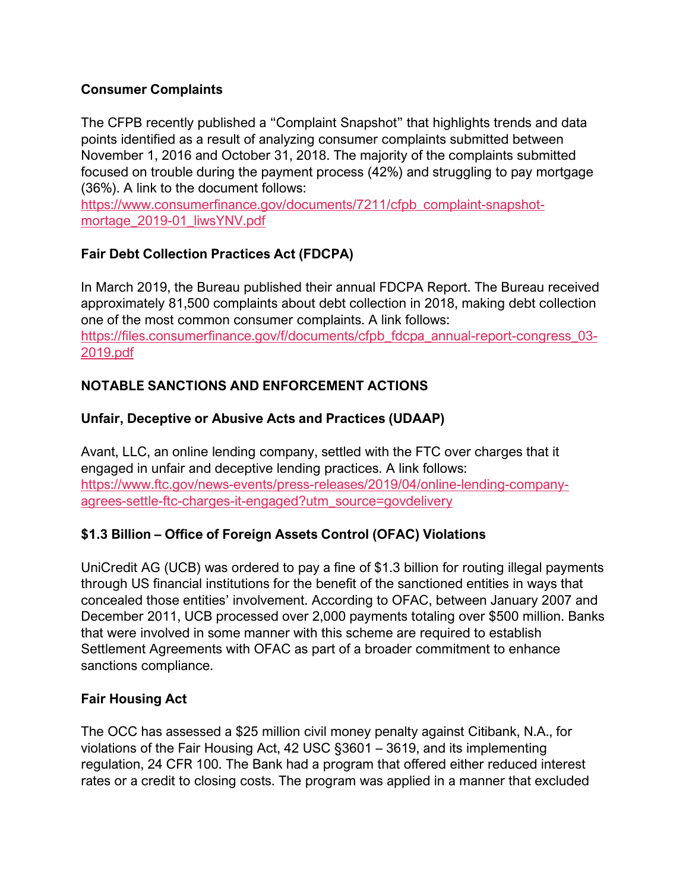## **Consumer Complaints**

The CFPB recently published a "Complaint Snapshot" that highlights trends and data points identified as a result of analyzing consumer complaints submitted between November 1, 2016 and October 31, 2018. The majority of the complaints submitted focused on trouble during the payment process (42%) and struggling to pay mortgage (36%). A link to the document follows:

[https://www.consumerfinance.gov/documents/7211/cfpb\\_complaint-snapshot](https://www.consumerfinance.gov/documents/7211/cfpb_complaint-snapshot-mortage_2019-01_liwsYNV.pdf)[mortage\\_2019-01\\_liwsYNV.pdf](https://www.consumerfinance.gov/documents/7211/cfpb_complaint-snapshot-mortage_2019-01_liwsYNV.pdf)

# **Fair Debt Collection Practices Act (FDCPA)**

In March 2019, the Bureau published their annual FDCPA Report. The Bureau received approximately 81,500 complaints about debt collection in 2018, making debt collection one of the most common consumer complaints. A link follows: [https://files.consumerfinance.gov/f/documents/cfpb\\_fdcpa\\_annual-report-congress\\_03-](https://files.consumerfinance.gov/f/documents/cfpb_fdcpa_annual-report-congress_03-2019.pdf) [2019.pdf](https://files.consumerfinance.gov/f/documents/cfpb_fdcpa_annual-report-congress_03-2019.pdf)

# **NOTABLE SANCTIONS AND ENFORCEMENT ACTIONS**

## **Unfair, Deceptive or Abusive Acts and Practices (UDAAP)**

Avant, LLC, an online lending company, settled with the FTC over charges that it engaged in unfair and deceptive lending practices. A link follows: [https://www.ftc.gov/news-events/press-releases/2019/04/online-lending-company](https://www.ftc.gov/news-events/press-releases/2019/04/online-lending-company-agrees-settle-ftc-charges-it-engaged?utm_source=govdelivery)[agrees-settle-ftc-charges-it-engaged?utm\\_source=govdelivery](https://www.ftc.gov/news-events/press-releases/2019/04/online-lending-company-agrees-settle-ftc-charges-it-engaged?utm_source=govdelivery)

# **\$1.3 Billion – Office of Foreign Assets Control (OFAC) Violations**

UniCredit AG (UCB) was ordered to pay a fine of \$1.3 billion for routing illegal payments through US financial institutions for the benefit of the sanctioned entities in ways that concealed those entities' involvement. According to OFAC, between January 2007 and December 2011, UCB processed over 2,000 payments totaling over \$500 million. Banks that were involved in some manner with this scheme are required to establish Settlement Agreements with OFAC as part of a broader commitment to enhance sanctions compliance.

## **Fair Housing Act**

The OCC has assessed a \$25 million civil money penalty against Citibank, N.A., for violations of the Fair Housing Act, 42 USC §3601 – 3619, and its implementing regulation, 24 CFR 100. The Bank had a program that offered either reduced interest rates or a credit to closing costs. The program was applied in a manner that excluded